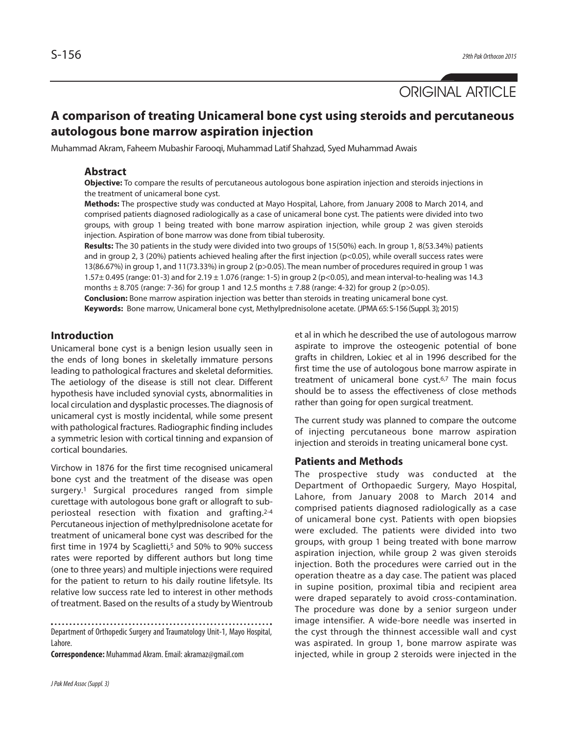

# **A comparison of treating Unicameral bone cyst using steroids and percutaneous autologous bone marrow aspiration injection**

Muhammad Akram, Faheem Mubashir Farooqi, Muhammad Latif Shahzad, Syed Muhammad Awais

## **Abstract**

**Objective:** To compare the results of percutaneous autologous bone aspiration injection and steroids injections in the treatment of unicameral bone cyst.

**Methods:** The prospective study was conducted at Mayo Hospital, Lahore, from January 2008 to March 2014, and comprised patients diagnosed radiologically as a case of unicameral bone cyst. The patients were divided into two groups, with group 1 being treated with bone marrow aspiration injection, while group 2 was given steroids injection. Aspiration of bone marrow was done from tibial tuberosity.

**Results:** The 30 patients in the study were divided into two groups of 15(50%) each. In group 1, 8(53.34%) patients and in group 2, 3 (20%) patients achieved healing after the first injection (p<0.05), while overall success rates were 13(86.67%) in group 1, and 11(73.33%) in group 2 ( $p>0.05$ ). The mean number of procedures required in group 1 was 1.57± 0.495 (range: 01-3) and for 2.19 ± 1.076 (range: 1-5) in group 2 (p<0.05), and mean interval-to-healing was 14.3 months  $\pm$  8.705 (range: 7-36) for group 1 and 12.5 months  $\pm$  7.88 (range: 4-32) for group 2 (p>0.05).

**Conclusion:** Bone marrow aspiration injection was better than steroids in treating unicameral bone cyst. **Keywords:** Bone marrow, Unicameral bone cyst, Methylprednisolone acetate. (JPMA65: S-156 (Suppl. 3); 2015)

# **Introduction**

Unicameral bone cyst is a benign lesion usually seen in the ends of long bones in skeletally immature persons leading to pathological fractures and skeletal deformities. The aetiology of the disease is still not clear. Different hypothesis have included synovial cysts, abnormalities in local circulation and dysplastic processes. The diagnosis of unicameral cyst is mostly incidental, while some present with pathological fractures. Radiographic finding includes a symmetric lesion with cortical tinning and expansion of cortical boundaries.

Virchow in 1876 for the first time recognised unicameral bone cyst and the treatment of the disease was open surgery. <sup>1</sup> Surgical procedures ranged from simple curettage with autologous bone graft or allograft to subperiosteal resection with fixation and grafting. 2-4 Percutaneous injection of methylprednisolone acetate for treatment of unicameral bone cyst was described for the first time in 1974 by Scaglietti,<sup>5</sup> and 50% to 90% success rates were reported by different authors but long time (one to three years) and multiple injections were required for the patient to return to his daily routine lifetsyle. Its relative low success rate led to interest in other methods of treatment. Based on the results of a study by Wientroub

**Correspondence:** Muhammad Akram.Email:akramaz@gmail.com

et al in which he described the use of autologous marrow aspirate to improve the osteogenic potential of bone grafts in children, Lokiec et al in 1996 described for the first time the use of autologous bone marrow aspirate in treatment of unicameral bone cyst. 6,7 The main focus should be to assess the effectiveness of close methods rather than going for open surgical treatment.

The current study was planned to compare the outcome of injecting percutaneous bone marrow aspiration injection and steroids in treating unicameral bone cyst.

#### **Patients and Methods**

The prospective study was conducted at the Department of Orthopaedic Surgery, Mayo Hospital, Lahore, from January 2008 to March 2014 and comprised patients diagnosed radiologically as a case of unicameral bone cyst. Patients with open biopsies were excluded. The patients were divided into two groups, with group 1 being treated with bone marrow aspiration injection, while group 2 was given steroids injection. Both the procedures were carried out in the operation theatre as a day case. The patient was placed in supine position, proximal tibia and recipient area were draped separately to avoid cross-contamination. The procedure was done by a senior surgeon under image intensifier. A wide-bore needle was inserted in the cyst through the thinnest accessible wall and cyst was aspirated. In group 1, bone marrow aspirate was injected, while in group 2 steroids were injected in the

Department of Orthopedic Surgery and Traumatology Unit-1, Mayo Hospital, Lahore.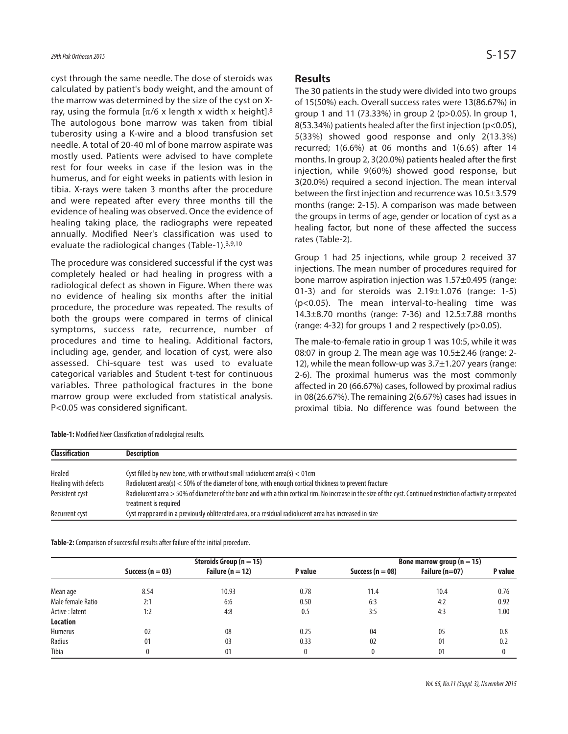cyst through the same needle. The dose of steroids was calculated by patient's body weight, and the amount of the marrow was determined by the size of the cyst on Xray, using the formula  $[\pi/6 \times \text{length x width x height}].$ <sup>8</sup> The autologous bone marrow was taken from tibial tuberosity using a K-wire and a blood transfusion set needle. A total of 20-40 ml of bone marrow aspirate was mostly used. Patients were advised to have complete rest for four weeks in case if the lesion was in the humerus, and for eight weeks in patients with lesion in tibia. X-rays were taken 3 months after the procedure and were repeated after every three months till the evidence of healing was observed. Once the evidence of healing taking place, the radiographs were repeated annually. Modified Neer's classification was used to evaluate the radiological changes (Table-1). 3,9,10

The procedure was considered successful if the cyst was completely healed or had healing in progress with a radiological defect as shown in Figure. When there was no evidence of healing six months after the initial procedure, the procedure was repeated. The results of both the groups were compared in terms of clinical symptoms, success rate, recurrence, number of procedures and time to healing. Additional factors, including age, gender, and location of cyst, were also assessed. Chi-square test was used to evaluate categorical variables and Student t-test for continuous variables. Three pathological fractures in the bone marrow group were excluded from statistical analysis. P<0.05 was considered significant.

#### **Results**

The 30 patients in the study were divided into two groups of 15(50%) each. Overall success rates were 13(86.67%) in group 1 and 11 (73.33%) in group 2 (p>0.05). In group 1, 8(53.34%) patients healed after the first injection (p<0.05), 5(33%) showed good response and only 2(13.3%) recurred; 1(6.6%) at 06 months and 1(6.6\$) after 14 months. In group 2, 3(20.0%) patients healed after the first injection, while 9(60%) showed good response, but 3(20.0%) required a second injection. The mean interval between the first injection and recurrence was 10.5±3.579 months (range: 2-15). A comparison was made between the groups in terms of age, gender or location of cyst as a healing factor, but none of these affected the success rates (Table-2).

Group 1 had 25 injections, while group 2 received 37 injections. The mean number of procedures required for bone marrow aspiration injection was 1.57±0.495 (range: 01-3) and for steroids was  $2.19\pm1.076$  (range: 1-5) (p<0.05). The mean interval-to-healing time was 14.3±8.70 months (range: 7-36) and 12.5±7.88 months (range: 4-32) for groups 1 and 2 respectively (p>0.05).

The male-to-female ratio in group 1 was 10:5, while it was 08:07 in group 2. The mean age was  $10.5\pm2.46$  (range: 2-12), while the mean follow-up was 3.7±1.207 years (range: 2-6). The proximal humerus was the most commonly affected in 20 (66.67%) cases, followed by proximal radius in 08(26.67%). The remaining 2(6.67%) cases had issues in proximal tibia. No difference was found between the

| <b>Classification</b> | <b>Description</b>                                                                                                                                                                       |  |  |  |  |
|-----------------------|------------------------------------------------------------------------------------------------------------------------------------------------------------------------------------------|--|--|--|--|
| Healed                | Cyst filled by new bone, with or without small radiolucent area(s) $<$ 01cm                                                                                                              |  |  |  |  |
| Healing with defects  | Radiolucent area(s) < 50% of the diameter of bone, with enough cortical thickness to prevent fracture                                                                                    |  |  |  |  |
| Persistent cyst       | Radiolucent area > 50% of diameter of the bone and with a thin cortical rim. No increase in the size of the cyst. Continued restriction of activity or repeated<br>treatment is required |  |  |  |  |
| Recurrent cyst        | Cyst reappeared in a previously obliterated area, or a residual radiolucent area has increased in size                                                                                   |  |  |  |  |

Table-1: Modified Neer Classification of radiological results.

Table-2: Comparison of successful results after failure of the initial procedure.

|                   | Steroids Group ( $n = 15$ ) |                      |         | Bone marrow group ( $n = 15$ ) |                  |              |
|-------------------|-----------------------------|----------------------|---------|--------------------------------|------------------|--------------|
|                   | Success ( $n = 03$ )        | Failure ( $n = 12$ ) | P value | Success ( $n = 08$ )           | Failure $(n=07)$ | P value      |
| Mean age          | 8.54                        | 10.93                | 0.78    | 11.4                           | 10.4             | 0.76         |
| Male female Ratio | 2:1                         | 6:6                  | 0.50    | 6:3                            | 4:2              | 0.92         |
| Active: latent    | 1:2                         | 4:8                  | 0.5     | 3:5                            | 4:3              | 1.00         |
| <b>Location</b>   |                             |                      |         |                                |                  |              |
| <b>Humerus</b>    | 02                          | 08                   | 0.25    | 04                             | 05               | 0.8          |
| Radius            | 0 <sup>1</sup>              | 03                   | 0.33    | 02                             | 0 <sup>1</sup>   | 0.2          |
| Tibia             |                             | 01                   |         | 0                              | $0^{\circ}$      | $\mathbf{0}$ |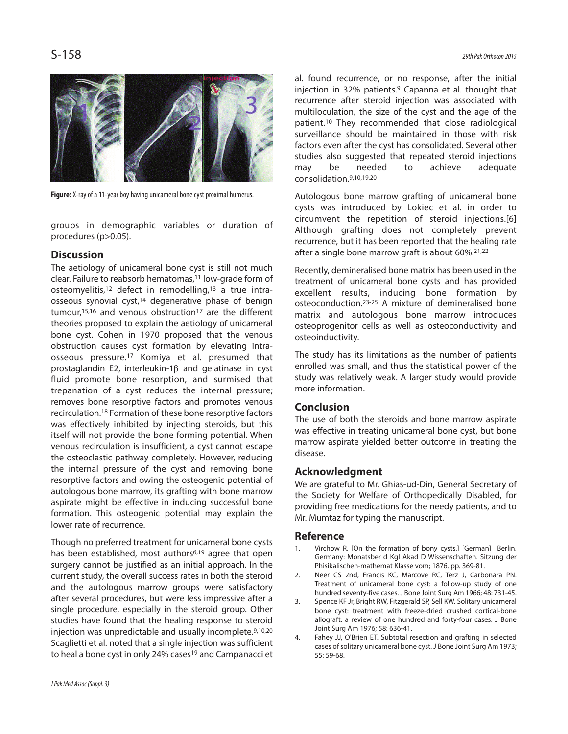

Figure: X-ray of a 11-year boy having unicameral bone cyst proximal humerus.

groups in demographic variables or duration of procedures (p>0.05).

# **Discussion**

The aetiology of unicameral bone cyst is still not much clear. Failure to reabsorb hematomas, <sup>11</sup> low-grade form of osteomyelitis, <sup>12</sup> defect in remodelling, <sup>13</sup> a true intraosseous synovial cyst, <sup>14</sup> degenerative phase of benign tumour,<sup>15,16</sup> and venous obstruction<sup>17</sup> are the different theories proposed to explain the aetiology of unicameral bone cyst. Cohen in 1970 proposed that the venous obstruction causes cyst formation by elevating intraosseous pressure. <sup>17</sup> Komiya et al. presumed that prostaglandin E2, interleukin-1β and gelatinase in cyst fluid promote bone resorption, and surmised that trepanation of a cyst reduces the internal pressure; removes bone resorptive factors and promotes venous recirculation. <sup>18</sup> Formation of these bone resorptive factors was effectively inhibited by injecting steroids, but this itself will not provide the bone forming potential. When venous recirculation is insufficient, a cyst cannot escape the osteoclastic pathway completely. However, reducing the internal pressure of the cyst and removing bone resorptive factors and owing the osteogenic potential of autologous bone marrow, its grafting with bone marrow aspirate might be effective in inducing successful bone formation. This osteogenic potential may explain the lower rate of recurrence.

Though no preferred treatment for unicameral bone cysts has been established, most authors<sup>6,19</sup> agree that open surgery cannot be justified as an initial approach. In the current study, the overall success rates in both the steroid and the autologous marrow groups were satisfactory after several procedures, but were less impressive after a single procedure, especially in the steroid group. Other studies have found that the healing response to steroid injection was unpredictable and usually incomplete. 9,10,20 Scaglietti et al. noted that a single injection was sufficient to heal a bone cyst in only 24% cases<sup>19</sup> and Campanacci et

surveillance should be maintained in those with risk factors even after the cyst has consolidated. Several other studies also suggested that repeated steroid injections may be needed to achieve adequate consolidation. 9,10,19,20 Autologous bone marrow grafting of unicameral bone cysts was introduced by Lokiec et al. in order to circumvent the repetition of steroid injections.[6] Although grafting does not completely prevent recurrence, but it has been reported that the healing rate

> Recently, demineralised bone matrix has been used in the treatment of unicameral bone cysts and has provided excellent results, inducing bone formation by osteoconduction. 23-25 A mixture of demineralised bone matrix and autologous bone marrow introduces osteoprogenitor cells as well as osteoconductivity and osteoinductivity.

after a single bone marrow graft is about 60%. 21,22

al. found recurrence, or no response, after the initial injection in 32% patients. <sup>9</sup> Capanna et al. thought that recurrence after steroid injection was associated with multiloculation, the size of the cyst and the age of the patient. <sup>10</sup> They recommended that close radiological

The study has its limitations as the number of patients enrolled was small, and thus the statistical power of the study was relatively weak. A larger study would provide more information.

# **Conclusion**

The use of both the steroids and bone marrow aspirate was effective in treating unicameral bone cyst, but bone marrow aspirate yielded better outcome in treating the disease.

# **Acknowledgment**

We are grateful to Mr. Ghias-ud-Din, General Secretary of the Society for Welfare of Orthopedically Disabled, for providing free medications for the needy patients, and to Mr. Mumtaz for typing the manuscript.

## **Reference**

- Virchow R. [On the formation of bony cysts.] [German] Berlin, Germany: Monatsber d Kgl Akad D Wissenschaften. Sitzung der Phisikalischen-mathemat Klasse vom; 1876. pp. 369-81.
- 2. Neer CS 2nd, Francis KC, Marcove RC, Terz J, Carbonara PN. Treatment of unicameral bone cyst: a follow-up study of one hundred seventy-five cases. J Bone Joint Surg Am 1966; 48: 731-45.
- 3. Spence KF Jr, Bright RW, Fitzgerald SP, Sell KW. Solitary unicameral bone cyst: treatment with freeze-dried crushed cortical-bone allograft: a review of one hundred and forty-four cases. J Bone Joint Surg Am 1976; 58: 636-41.
- 4. Fahey JJ, O'Brien ET. Subtotal resection and grafting in selected cases of solitary unicameral bone cyst. J Bone Joint Surg Am 1973; 55: 59-68.